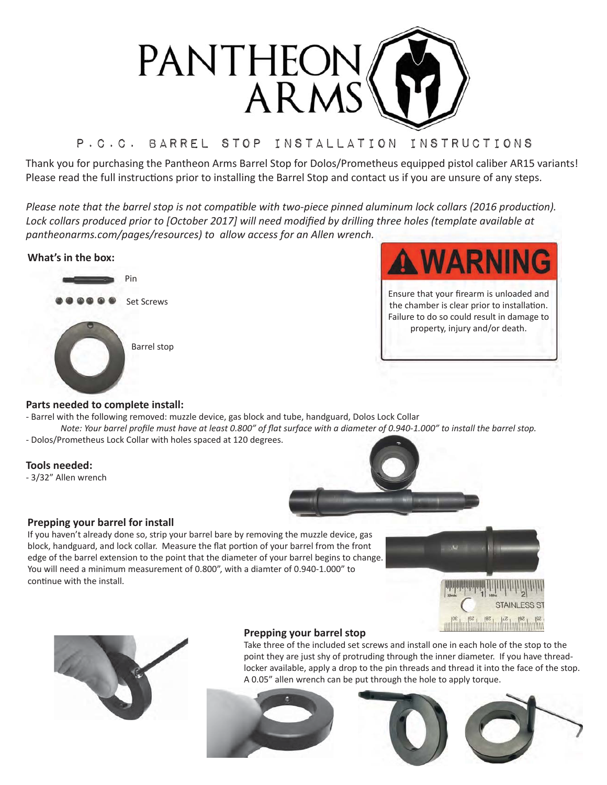

# P.c.c. Barrel stop Installation Instructions

Thank you for purchasing the Pantheon Arms Barrel Stop for Dolos/Prometheus equipped pistol caliber AR15 variants! Please read the full instructions prior to installing the Barrel Stop and contact us if you are unsure of any steps.

Please note that the barrel stop is not compatible with two-piece pinned aluminum lock collars (2016 production). Lock collars produced prior to [October 2017] will need modified by drilling three holes (template available at *pantheonarms.com/pages/resources)* to allow access for an Allen wrench.

# **What's in the box:**





Ensure that your firearm is unloaded and the chamber is clear prior to installation. Failure to do so could result in damage to property, injury and/or death.

# **Parts needed to complete install:**

- Barrel with the following removed: muzzle device, gas block and tube, handguard, Dolos Lock Collar
- *Note: Your barrel profile must have at least 0.800" of flat surface with a diameter of 0.940-1.000" to install the barrel stop.* - Dolos/Prometheus Lock Collar with holes spaced at 120 degrees.

# **Tools needed:**

- 3/32" Allen wrench



#### **Prepping your barrel for install**

If you haven't already done so, strip your barrel bare by removing the muzzle device, gas block, handguard, and lock collar. Measure the flat portion of your barrel from the front edge of the barrel extension to the point that the diameter of your barrel begins to change. You will need a minimum measurement of 0.800", with a diamter of 0.940-1.000" to continue with the install.



**PARTIES** 



# **Prepping your barrel stop**

Take three of the included set screws and install one in each hole of the stop to the point they are just shy of protruding through the inner diameter. If you have threadlocker available, apply a drop to the pin threads and thread it into the face of the stop. A 0.05" allen wrench can be put through the hole to apply torque.